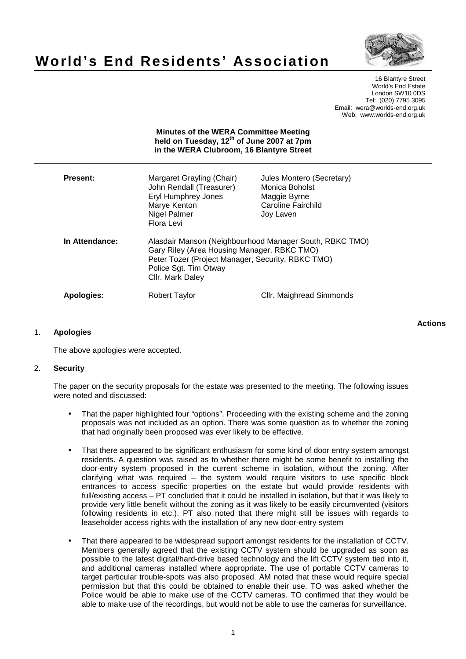

# **World's End Residents' Association**

16 Blantyre Street World's End Estate London SW10 0DS Tel: (020) 7795 3095 Email: wera@worlds-end.org.uk Web: www.worlds-end.org.uk

| <b>Minutes of the WERA Committee Meeting</b><br>held on Tuesday, 12 <sup>th</sup> of June 2007 at 7pm<br>in the WERA Clubroom, 16 Blantyre Street |                                                                                                                                                                                                          |                                                                                                |
|---------------------------------------------------------------------------------------------------------------------------------------------------|----------------------------------------------------------------------------------------------------------------------------------------------------------------------------------------------------------|------------------------------------------------------------------------------------------------|
| <b>Present:</b>                                                                                                                                   | Margaret Grayling (Chair)<br>John Rendall (Treasurer)<br>Eryl Humphrey Jones<br>Marye Kenton<br>Nigel Palmer<br>Flora Levi                                                                               | Jules Montero (Secretary)<br>Monica Boholst<br>Maggie Byrne<br>Caroline Fairchild<br>Joy Laven |
| In Attendance:                                                                                                                                    | Alasdair Manson (Neighbourhood Manager South, RBKC TMO)<br>Gary Riley (Area Housing Manager, RBKC TMO)<br>Peter Tozer (Project Manager, Security, RBKC TMO)<br>Police Sgt. Tim Otway<br>Cllr. Mark Daley |                                                                                                |
| Apologies:                                                                                                                                        | Robert Taylor                                                                                                                                                                                            | Cllr. Maighread Simmonds                                                                       |

## 1. **Apologies**

The above apologies were accepted.

## 2. **Security**

The paper on the security proposals for the estate was presented to the meeting. The following issues were noted and discussed:

- That the paper highlighted four "options". Proceeding with the existing scheme and the zoning proposals was not included as an option. There was some question as to whether the zoning that had originally been proposed was ever likely to be effective.
- That there appeared to be significant enthusiasm for some kind of door entry system amongst residents. A question was raised as to whether there might be some benefit to installing the door-entry system proposed in the current scheme in isolation, without the zoning. After clarifying what was required – the system would require visitors to use specific block entrances to access specific properties on the estate but would provide residents with full/existing access – PT concluded that it could be installed in isolation, but that it was likely to provide very little benefit without the zoning as it was likely to be easily circumvented (visitors following residents in etc.). PT also noted that there might still be issues with regards to leaseholder access rights with the installation of any new door-entry system
- That there appeared to be widespread support amongst residents for the installation of CCTV. Members generally agreed that the existing CCTV system should be upgraded as soon as possible to the latest digital/hard-drive based technology and the lift CCTV system tied into it, and additional cameras installed where appropriate. The use of portable CCTV cameras to target particular trouble-spots was also proposed. AM noted that these would require special permission but that this could be obtained to enable their use. TO was asked whether the Police would be able to make use of the CCTV cameras. TO confirmed that they would be able to make use of the recordings, but would not be able to use the cameras for surveillance.

**Lactions のことには、このことにより、このことにより、このことになります。 そのことには、このことにより、このことにより、このことになります。 そのことには、このことにより、このことには、このことにより、このことにより、このことにより、このことにより、このことにより、このことにより、このことにより、このことにより、このことにより、このことにより、このことにより、このことにより、このことにより、このことによっていることになっ**